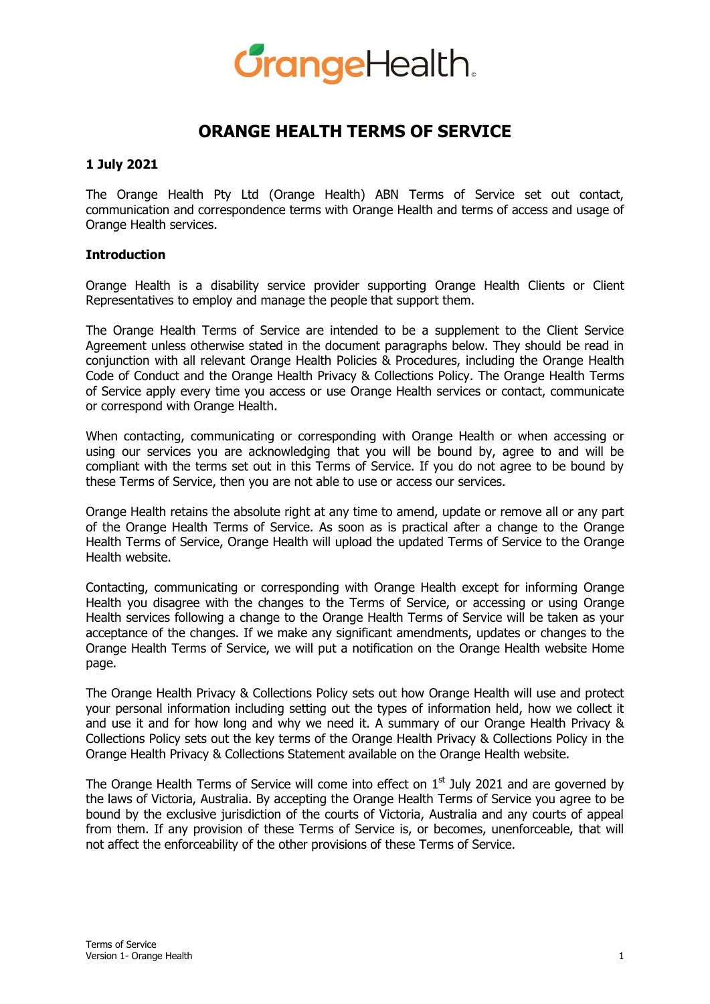

# **ORANGE HEALTH TERMS OF SERVICE**

### **1 July 2021**

The Orange Health Pty Ltd (Orange Health) ABN Terms of Service set out contact, communication and correspondence terms with Orange Health and terms of access and usage of Orange Health services.

# **Introduction**

Orange Health is a disability service provider supporting Orange Health Clients or Client Representatives to employ and manage the people that support them.

The Orange Health Terms of Service are intended to be a supplement to the Client Service Agreement unless otherwise stated in the document paragraphs below. They should be read in conjunction with all relevant Orange Health Policies & Procedures, including the Orange Health Code of Conduct and the Orange Health Privacy & Collections Policy. The Orange Health Terms of Service apply every time you access or use Orange Health services or contact, communicate or correspond with Orange Health.

When contacting, communicating or corresponding with Orange Health or when accessing or using our services you are acknowledging that you will be bound by, agree to and will be compliant with the terms set out in this Terms of Service. If you do not agree to be bound by these Terms of Service, then you are not able to use or access our services.

Orange Health retains the absolute right at any time to amend, update or remove all or any part of the Orange Health Terms of Service. As soon as is practical after a change to the Orange Health Terms of Service, Orange Health will upload the updated Terms of Service to the Orange Health website.

Contacting, communicating or corresponding with Orange Health except for informing Orange Health you disagree with the changes to the Terms of Service, or accessing or using Orange Health services following a change to the Orange Health Terms of Service will be taken as your acceptance of the changes. If we make any significant amendments, updates or changes to the Orange Health Terms of Service, we will put a notification on the Orange Health website Home page.

The Orange Health Privacy & Collections Policy sets out how Orange Health will use and protect your personal information including setting out the types of information held, how we collect it and use it and for how long and why we need it. A summary of our Orange Health Privacy & Collections Policy sets out the key terms of the Orange Health Privacy & Collections Policy in the Orange Health Privacy & Collections Statement available on the Orange Health website.

The Orange Health Terms of Service will come into effect on  $1<sup>st</sup>$  July 2021 and are governed by the laws of Victoria, Australia. By accepting the Orange Health Terms of Service you agree to be bound by the exclusive jurisdiction of the courts of Victoria, Australia and any courts of appeal from them. If any provision of these Terms of Service is, or becomes, unenforceable, that will not affect the enforceability of the other provisions of these Terms of Service.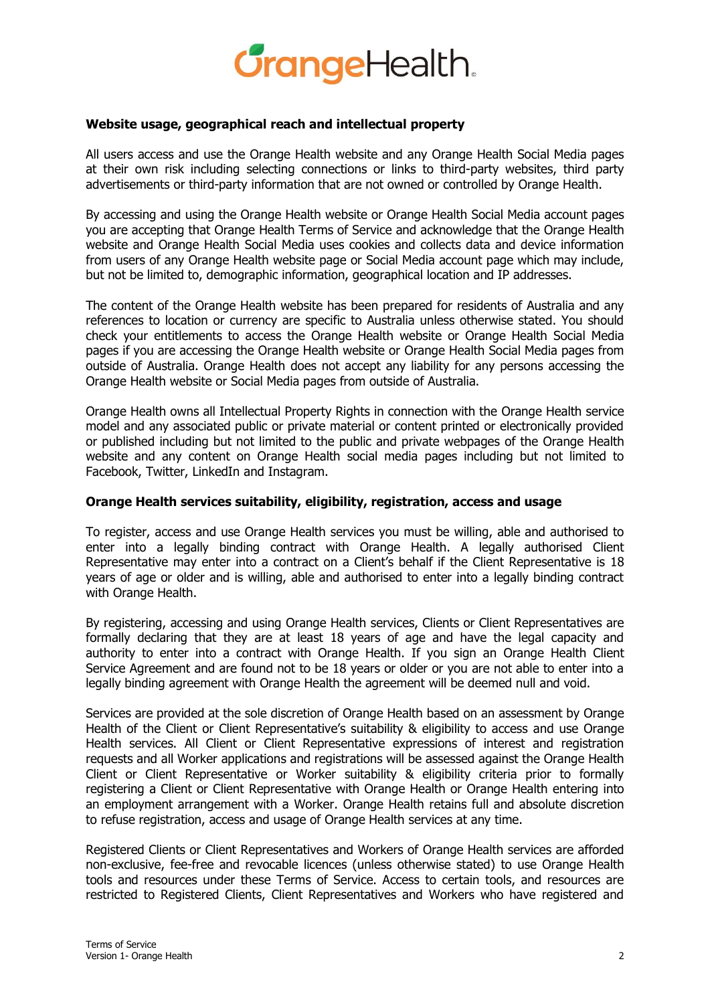

# **Website usage, geographical reach and intellectual property**

All users access and use the Orange Health website and any Orange Health Social Media pages at their own risk including selecting connections or links to third-party websites, third party advertisements or third-party information that are not owned or controlled by Orange Health.

By accessing and using the Orange Health website or Orange Health Social Media account pages you are accepting that Orange Health Terms of Service and acknowledge that the Orange Health website and Orange Health Social Media uses cookies and collects data and device information from users of any Orange Health website page or Social Media account page which may include, but not be limited to, demographic information, geographical location and IP addresses.

The content of the Orange Health website has been prepared for residents of Australia and any references to location or currency are specific to Australia unless otherwise stated. You should check your entitlements to access the Orange Health website or Orange Health Social Media pages if you are accessing the Orange Health website or Orange Health Social Media pages from outside of Australia. Orange Health does not accept any liability for any persons accessing the Orange Health website or Social Media pages from outside of Australia.

Orange Health owns all Intellectual Property Rights in connection with the Orange Health service model and any associated public or private material or content printed or electronically provided or published including but not limited to the public and private webpages of the Orange Health website and any content on Orange Health social media pages including but not limited to Facebook, Twitter, LinkedIn and Instagram.

### **Orange Health services suitability, eligibility, registration, access and usage**

To register, access and use Orange Health services you must be willing, able and authorised to enter into a legally binding contract with Orange Health. A legally authorised Client Representative may enter into a contract on a Client's behalf if the Client Representative is 18 years of age or older and is willing, able and authorised to enter into a legally binding contract with Orange Health.

By registering, accessing and using Orange Health services, Clients or Client Representatives are formally declaring that they are at least 18 years of age and have the legal capacity and authority to enter into a contract with Orange Health. If you sign an Orange Health Client Service Agreement and are found not to be 18 years or older or you are not able to enter into a legally binding agreement with Orange Health the agreement will be deemed null and void.

Services are provided at the sole discretion of Orange Health based on an assessment by Orange Health of the Client or Client Representative's suitability & eligibility to access and use Orange Health services. All Client or Client Representative expressions of interest and registration requests and all Worker applications and registrations will be assessed against the Orange Health Client or Client Representative or Worker suitability & eligibility criteria prior to formally registering a Client or Client Representative with Orange Health or Orange Health entering into an employment arrangement with a Worker. Orange Health retains full and absolute discretion to refuse registration, access and usage of Orange Health services at any time.

Registered Clients or Client Representatives and Workers of Orange Health services are afforded non-exclusive, fee-free and revocable licences (unless otherwise stated) to use Orange Health tools and resources under these Terms of Service. Access to certain tools, and resources are restricted to Registered Clients, Client Representatives and Workers who have registered and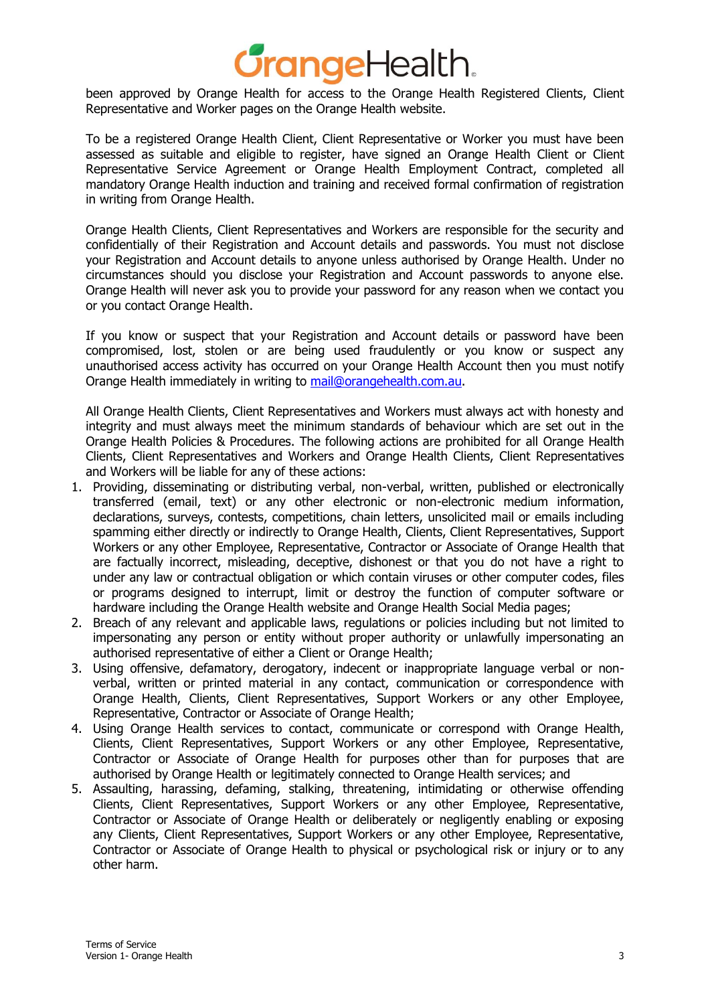# *JrangeHealth.*

been approved by Orange Health for access to the Orange Health Registered Clients, Client Representative and Worker pages on the Orange Health website.

To be a registered Orange Health Client, Client Representative or Worker you must have been assessed as suitable and eligible to register, have signed an Orange Health Client or Client Representative Service Agreement or Orange Health Employment Contract, completed all mandatory Orange Health induction and training and received formal confirmation of registration in writing from Orange Health.

Orange Health Clients, Client Representatives and Workers are responsible for the security and confidentially of their Registration and Account details and passwords. You must not disclose your Registration and Account details to anyone unless authorised by Orange Health. Under no circumstances should you disclose your Registration and Account passwords to anyone else. Orange Health will never ask you to provide your password for any reason when we contact you or you contact Orange Health.

If you know or suspect that your Registration and Account details or password have been compromised, lost, stolen or are being used fraudulently or you know or suspect any unauthorised access activity has occurred on your Orange Health Account then you must notify Orange Health immediately in writing to mail@orangehealth.com.au.

All Orange Health Clients, Client Representatives and Workers must always act with honesty and integrity and must always meet the minimum standards of behaviour which are set out in the Orange Health Policies & Procedures. The following actions are prohibited for all Orange Health Clients, Client Representatives and Workers and Orange Health Clients, Client Representatives and Workers will be liable for any of these actions:

- 1. Providing, disseminating or distributing verbal, non-verbal, written, published or electronically transferred (email, text) or any other electronic or non-electronic medium information, declarations, surveys, contests, competitions, chain letters, unsolicited mail or emails including spamming either directly or indirectly to Orange Health, Clients, Client Representatives, Support Workers or any other Employee, Representative, Contractor or Associate of Orange Health that are factually incorrect, misleading, deceptive, dishonest or that you do not have a right to under any law or contractual obligation or which contain viruses or other computer codes, files or programs designed to interrupt, limit or destroy the function of computer software or hardware including the Orange Health website and Orange Health Social Media pages;
- 2. Breach of any relevant and applicable laws, regulations or policies including but not limited to impersonating any person or entity without proper authority or unlawfully impersonating an authorised representative of either a Client or Orange Health;
- 3. Using offensive, defamatory, derogatory, indecent or inappropriate language verbal or nonverbal, written or printed material in any contact, communication or correspondence with Orange Health, Clients, Client Representatives, Support Workers or any other Employee, Representative, Contractor or Associate of Orange Health;
- 4. Using Orange Health services to contact, communicate or correspond with Orange Health, Clients, Client Representatives, Support Workers or any other Employee, Representative, Contractor or Associate of Orange Health for purposes other than for purposes that are authorised by Orange Health or legitimately connected to Orange Health services; and
- 5. Assaulting, harassing, defaming, stalking, threatening, intimidating or otherwise offending Clients, Client Representatives, Support Workers or any other Employee, Representative, Contractor or Associate of Orange Health or deliberately or negligently enabling or exposing any Clients, Client Representatives, Support Workers or any other Employee, Representative, Contractor or Associate of Orange Health to physical or psychological risk or injury or to any other harm.